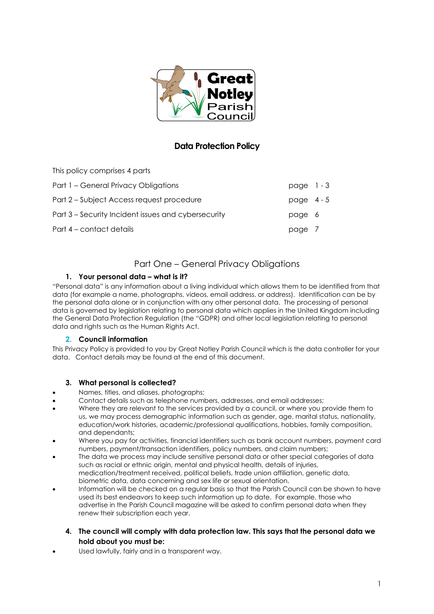

# **Data Protection Policy**

This policy comprises 4 parts

| Part 1 - General Privacy Obligations                | page $1 - 3$ |  |
|-----------------------------------------------------|--------------|--|
| Part 2 – Subject Access request procedure           | page $4-5$   |  |
| Part 3 – Security Incident issues and cybersecurity | page 6       |  |
| Part 4 – contact details                            | page 7       |  |

# Part One – General Privacy Obligations

### **1. Your personal data – what is it?**

"Personal data" is any information about a living individual which allows them to be identified from that data (for example a name, photographs, videos, email address, or address). Identification can be by the personal data alone or in conjunction with any other personal data. The processing of personal data is governed by legislation relating to personal data which applies in the United Kingdom including the General Data Protection Regulation (the "GDPR) and other local legislation relating to personal data and rights such as the Human Rights Act.

### **2. Council information**

This Privacy Policy is provided to you by Great Notley Parish Council which is the data controller for your data. Contact details may be found at the end of this document.

### **3. What personal is collected?**

- Names, titles, and aliases, photographs;
- Contact details such as telephone numbers, addresses, and email addresses;
- Where they are relevant to the services provided by a council, or where you provide them to us, we may process demographic information such as gender, age, marital status, nationality, education/work histories, academic/professional qualifications, hobbies, family composition, and dependants;
- Where you pay for activities, financial identifiers such as bank account numbers, payment card numbers, payment/transaction identifiers, policy numbers, and claim numbers;
- The data we process may include sensitive personal data or other special categories of data such as racial or ethnic origin, mental and physical health, details of injuries, medication/treatment received, political beliefs, trade union affiliation, genetic data, biometric data, data concerning and sex life or sexual orientation.
- Information will be checked on a regular basis so that the Parish Council can be shown to have used its best endeavors to keep such information up to date. For example, those who advertise in the Parish Council magazine will be asked to confirm personal data when they renew their subscription each year.
	- **4. The council will comply with data protection law. This says that the personal data we hold about you must be:**
- Used lawfully, fairly and in a transparent way.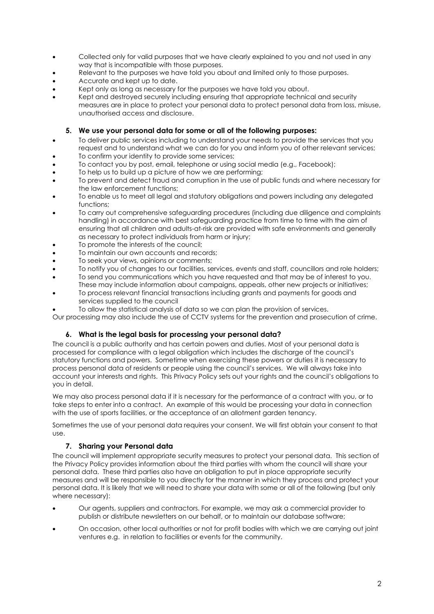- Collected only for valid purposes that we have clearly explained to you and not used in any way that is incompatible with those purposes.
- Relevant to the purposes we have told you about and limited only to those purposes.
- Accurate and kept up to date.
- Kept only as long as necessary for the purposes we have told you about.
- Kept and destroyed securely including ensuring that appropriate technical and security measures are in place to protect your personal data to protect personal data from loss, misuse, unauthorised access and disclosure.

#### **5. We use your personal data for some or all of the following purposes:**

- To deliver public services including to understand your needs to provide the services that you request and to understand what we can do for you and inform you of other relevant services;
- To confirm your identity to provide some services;
- To contact you by post, email, telephone or using social media (e.g., Facebook);
- To help us to build up a picture of how we are performing;
- To prevent and detect fraud and corruption in the use of public funds and where necessary for the law enforcement functions;
- To enable us to meet all legal and statutory obligations and powers including any delegated functions;
- To carry out comprehensive safeguarding procedures (including due diligence and complaints handling) in accordance with best safeguarding practice from time to time with the aim of ensuring that all children and adults-at-risk are provided with safe environments and generally as necessary to protect individuals from harm or injury;
- To promote the interests of the council:
- To maintain our own accounts and records;
- To seek your views, opinions or comments;
- To notify you of changes to our facilities, services, events and staff, councillors and role holders;
- To send you communications which you have requested and that may be of interest to you. These may include information about campaigns, appeals, other new projects or initiatives;
- To process relevant financial transactions including grants and payments for goods and services supplied to the council
- To allow the statistical analysis of data so we can plan the provision of services.

Our processing may also include the use of CCTV systems for the prevention and prosecution of crime.

#### **6. What is the legal basis for processing your personal data?**

The council is a public authority and has certain powers and duties. Most of your personal data is processed for compliance with a legal obligation which includes the discharge of the council's statutory functions and powers. Sometime when exercising these powers or duties it is necessary to process personal data of residents or people using the council's services. We will always take into account your interests and rights. This Privacy Policy sets out your rights and the council's obligations to you in detail.

We may also process personal data if it is necessary for the performance of a contract with you, or to take steps to enter into a contract. An example of this would be processing your data in connection with the use of sports facilities, or the acceptance of an allotment garden tenancy.

Sometimes the use of your personal data requires your consent. We will first obtain your consent to that use.

#### **7. Sharing your Personal data**

The council will implement appropriate security measures to protect your personal data. This section of the Privacy Policy provides information about the third parties with whom the council will share your personal data. These third parties also have an obligation to put in place appropriate security measures and will be responsible to you directly for the manner in which they process and protect your personal data. It is likely that we will need to share your data with some or all of the following (but only where necessary):

- Our agents, suppliers and contractors. For example, we may ask a commercial provider to publish or distribute newsletters on our behalf, or to maintain our database software;
- On occasion, other local authorities or not for profit bodies with which we are carrying out joint ventures e.g. in relation to facilities or events for the community.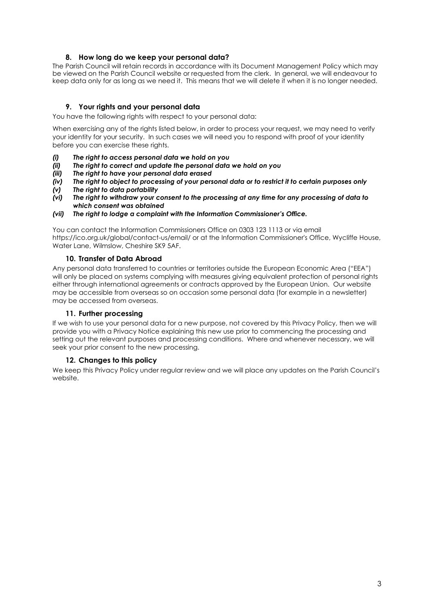#### **8. How long do we keep your personal data?**

The Parish Council will retain records in accordance with its Document Management Policy which may be viewed on the Parish Council website or requested from the clerk. In general, we will endeavour to keep data only for as long as we need it. This means that we will delete it when it is no longer needed.

#### **9. Your rights and your personal data**

You have the following rights with respect to your personal data:

When exercising any of the rights listed below, in order to process your request, we may need to verify your identity for your security. In such cases we will need you to respond with proof of your identity before you can exercise these rights.

- *(i) The right to access personal data we hold on you*
- *(ii) The right to correct and update the personal data we hold on you*
- *(iii) The right to have your personal data erased*
- *(iv) The right to object to processing of your personal data or to restrict it to certain purposes only*
- *(v) The right to data portability*
- *(vi) The right to withdraw your consent to the processing at any time for any processing of data to which consent was obtained*
- *(vii) The right to lodge a complaint with the Information Commissioner's Office.*

You can contact the Information Commissioners Office on 0303 123 1113 or via email https://ico.org.uk/global/contact-us/email/ or at the Information Commissioner's Office, Wycliffe House, Water Lane, Wilmslow, Cheshire SK9 5AF.

#### **10. Transfer of Data Abroad**

Any personal data transferred to countries or territories outside the European Economic Area ("EEA") will only be placed on systems complying with measures giving equivalent protection of personal rights either through international agreements or contracts approved by the European Union. Our website may be accessible from overseas so on occasion some personal data (for example in a newsletter) may be accessed from overseas.

#### **11. Further processing**

If we wish to use your personal data for a new purpose, not covered by this Privacy Policy, then we will provide you with a Privacy Notice explaining this new use prior to commencing the processing and setting out the relevant purposes and processing conditions. Where and whenever necessary, we will seek your prior consent to the new processing.

#### **12. Changes to this policy**

We keep this Privacy Policy under regular review and we will place any updates on the Parish Council's website.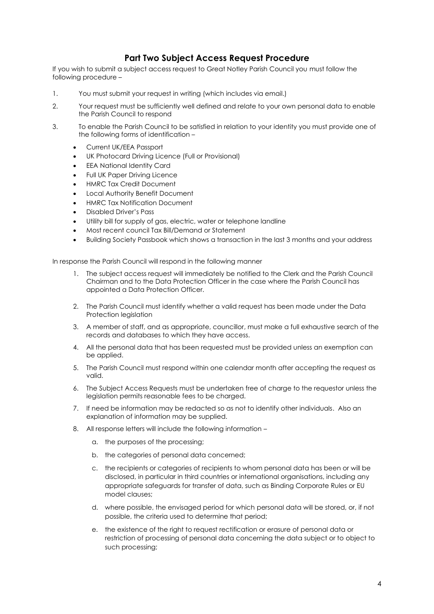## **Part Two Subject Access Request Procedure**

If you wish to submit a subject access request to Great Notley Parish Council you must follow the following procedure –

- 1. You must submit your request in writing (which includes via email.)
- 2. Your request must be sufficiently well defined and relate to your own personal data to enable the Parish Council to respond
- 3. To enable the Parish Council to be satisfied in relation to your identity you must provide one of the following forms of identification –
	- Current UK/EEA Passport
	- UK Photocard Driving Licence (Full or Provisional)
	- EEA National Identity Card
	- Full UK Paper Driving Licence
	- HMRC Tax Credit Document
	- Local Authority Benefit Document
	- HMRC Tax Notification Document
	- Disabled Driver's Pass
	- Utility bill for supply of gas, electric, water or telephone landline
	- Most recent council Tax Bill/Demand or Statement
	- Building Society Passbook which shows a transaction in the last 3 months and your address

In response the Parish Council will respond in the following manner

- 1. The subject access request will immediately be notified to the Clerk and the Parish Council Chairman and to the Data Protection Officer in the case where the Parish Council has appointed a Data Protection Officer.
- 2. The Parish Council must identify whether a valid request has been made under the Data Protection legislation
- 3. A member of staff, and as appropriate, councillor, must make a full exhaustive search of the records and databases to which they have access.
- 4. All the personal data that has been requested must be provided unless an exemption can be applied.
- 5. The Parish Council must respond within one calendar month after accepting the request as valid.
- 6. The Subject Access Requests must be undertaken free of charge to the requestor unless the legislation permits reasonable fees to be charged.
- 7. If need be information may be redacted so as not to identify other individuals. Also an explanation of information may be supplied.
- 8. All response letters will include the following information
	- a. the purposes of the processing;
	- b. the categories of personal data concerned;
	- c. the recipients or categories of recipients to whom personal data has been or will be disclosed, in particular in third countries or international organisations, including any appropriate safeguards for transfer of data, such as Binding Corporate Rules or EU model clauses;
	- d. where possible, the envisaged period for which personal data will be stored, or, if not possible, the criteria used to determine that period;
	- e. the existence of the right to request rectification or erasure of personal data or restriction of processing of personal data concerning the data subject or to object to such processing;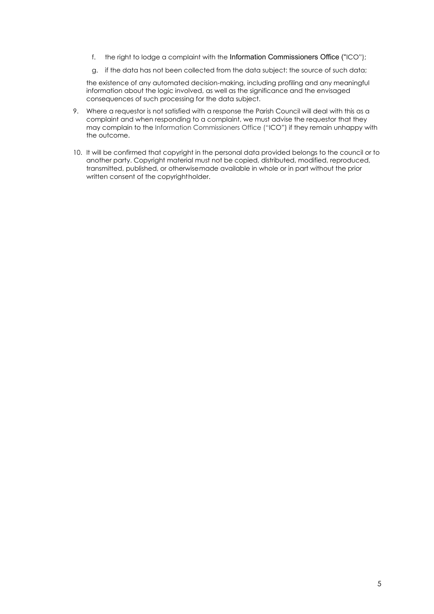- f. the right to lodge a complaint with the Information Commissioners Office ("ICO");
- g. if the data has not been collected from the data subject: the source of such data;

the existence of any automated decision-making, including profiling and any meaningful information about the logic involved, as well as the significance and the envisaged consequences of such processing for the data subject.

- 9. Where a requestor is not satisfied with a response the Parish Council will deal with this as a complaint and when responding to a complaint, we must advise the requestor that they may complain to the Information Commissioners Office ("ICO") if they remain unhappy with the outcome.
- 10. It will be confirmed that copyright in the personal data provided belongs to the council or to another party. Copyright material must not be copied, distributed, modified, reproduced, transmitted, published, or otherwisemade available in whole or in part without the prior written consent of the copyrightholder.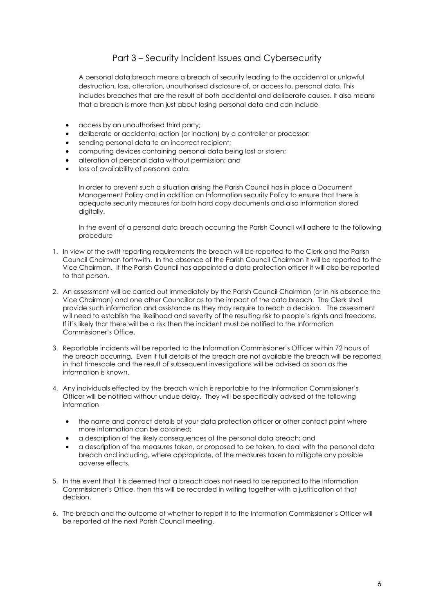## Part 3 – Security Incident Issues and Cybersecurity

A personal data breach means a breach of security leading to the accidental or unlawful destruction, loss, alteration, unauthorised disclosure of, or access to, personal data. This includes breaches that are the result of both accidental and deliberate causes. It also means that a breach is more than just about losing personal data and can include

- access by an unauthorised third party;
- deliberate or accidental action (or inaction) by a controller or processor;
- sending personal data to an incorrect recipient;
- computing devices containing personal data being lost or stolen;
- alteration of personal data without permission; and
- loss of availability of personal data.

In order to prevent such a situation arising the Parish Council has in place a Document Management Policy and in addition an Information security Policy to ensure that there is adequate security measures for both hard copy documents and also information stored digitally.

In the event of a personal data breach occurring the Parish Council will adhere to the following procedure –

- 1. In view of the swift reporting requirements the breach will be reported to the Clerk and the Parish Council Chairman forthwith. In the absence of the Parish Council Chairman it will be reported to the Vice Chairman. If the Parish Council has appointed a data protection officer it will also be reported to that person.
- 2. An assessment will be carried out immediately by the Parish Council Chairman (or in his absence the Vice Chairman) and one other Councillor as to the impact of the data breach. The Clerk shall provide such information and assistance as they may require to reach a decision. The assessment will need to establish the likelihood and severity of the resulting risk to people's rights and freedoms. If it's likely that there will be a risk then the incident must be notified to the Information Commissioner's Office.
- 3. Reportable incidents will be reported to the Information Commissioner's Officer within 72 hours of the breach occurring. Even if full details of the breach are not available the breach will be reported in that timescale and the result of subsequent investigations will be advised as soon as the information is known.
- 4. Any individuals effected by the breach which is reportable to the Information Commissioner's Officer will be notified without undue delay. They will be specifically advised of the following information –
	- the name and contact details of your data protection officer or other contact point where more information can be obtained;
	- a description of the likely consequences of the personal data breach; and
	- a description of the measures taken, or proposed to be taken, to deal with the personal data breach and including, where appropriate, of the measures taken to mitigate any possible adverse effects.
- 5. In the event that it is deemed that a breach does not need to be reported to the Information Commissioner's Office, then this will be recorded in writing together with a justification of that decision.
- 6. The breach and the outcome of whether to report it to the Information Commissioner's Officer will be reported at the next Parish Council meeting.